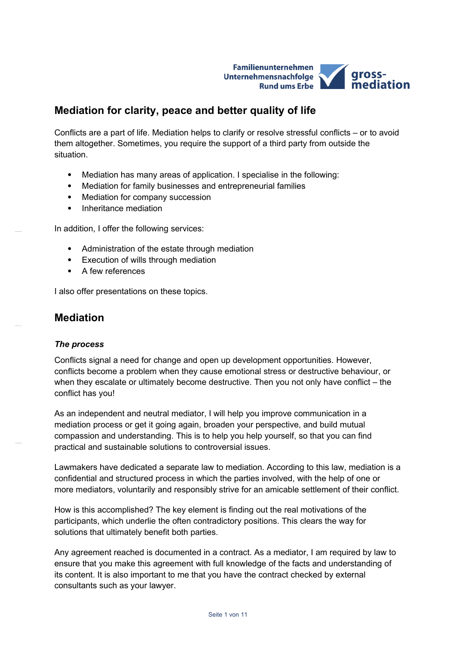

# **Mediation for clarity, peace and better quality of life**

Conflicts are a part of life. Mediation helps to clarify or resolve stressful conflicts – or to avoid them altogether. Sometimes, you require the support of a third party from outside the situation.

- Mediation has many areas of application. I specialise in the following:
- Mediation for family businesses and entrepreneurial families
- Mediation for company succession
- Inheritance mediation

In addition, I offer the following services:

- Administration of the estate through mediation
- Execution of wills through mediation
- A few references

I also offer presentations on these topics.

## **Mediation**

#### *The process*

Conflicts signal a need for change and open up development opportunities. However, conflicts become a problem when they cause emotional stress or destructive behaviour, or when they escalate or ultimately become destructive. Then you not only have conflict – the conflict has you!

As an independent and neutral mediator, I will help you improve communication in a mediation process or get it going again, broaden your perspective, and build mutual compassion and understanding. This is to help you help yourself, so that you can find practical and sustainable solutions to controversial issues.

Lawmakers have dedicated a separate law to mediation. According to this law, mediation is a confidential and structured process in which the parties involved, with the help of one or more mediators, voluntarily and responsibly strive for an amicable settlement of their conflict.

How is this accomplished? The key element is finding out the real motivations of the participants, which underlie the often contradictory positions. This clears the way for solutions that ultimately benefit both parties.

Any agreement reached is documented in a contract. As a mediator, I am required by law to ensure that you make this agreement with full knowledge of the facts and understanding of its content. It is also important to me that you have the contract checked by external consultants such as your lawyer.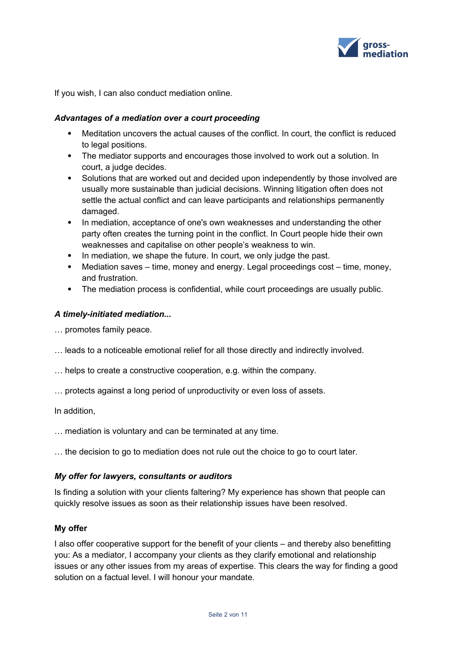

If you wish, I can also conduct mediation online.

#### *Advantages of a mediation over a court proceeding*

- Meditation uncovers the actual causes of the conflict. In court, the conflict is reduced to legal positions.
- The mediator supports and encourages those involved to work out a solution. In court, a judge decides.
- Solutions that are worked out and decided upon independently by those involved are usually more sustainable than judicial decisions. Winning litigation often does not settle the actual conflict and can leave participants and relationships permanently damaged.
- In mediation, acceptance of one's own weaknesses and understanding the other party often creates the turning point in the conflict. In Court people hide their own weaknesses and capitalise on other people's weakness to win.
- In mediation, we shape the future. In court, we only judge the past.
- Mediation saves time, money and energy. Legal proceedings cost time, money, and frustration.
- The mediation process is confidential, while court proceedings are usually public.

#### *A timely-initiated mediation...*

- … promotes family peace.
- … leads to a noticeable emotional relief for all those directly and indirectly involved.
- … helps to create a constructive cooperation, e.g. within the company.
- … protects against a long period of unproductivity or even loss of assets.

In addition,

- … mediation is voluntary and can be terminated at any time.
- … the decision to go to mediation does not rule out the choice to go to court later.

#### *My offer for lawyers, consultants or auditors*

Is finding a solution with your clients faltering? My experience has shown that people can quickly resolve issues as soon as their relationship issues have been resolved.

#### **My offer**

I also offer cooperative support for the benefit of your clients – and thereby also benefitting you: As a mediator, I accompany your clients as they clarify emotional and relationship issues or any other issues from my areas of expertise. This clears the way for finding a good solution on a factual level. I will honour your mandate.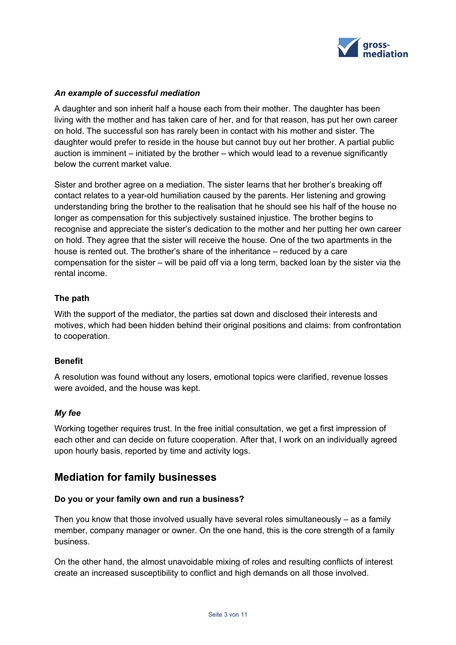

### *An example of successful mediation*

A daughter and son inherit half a house each from their mother. The daughter has been living with the mother and has taken care of her, and for that reason, has put her own career on hold. The successful son has rarely been in contact with his mother and sister. The daughter would prefer to reside in the house but cannot buy out her brother. A partial public auction is imminent – initiated by the brother – which would lead to a revenue significantly below the current market value.

Sister and brother agree on a mediation. The sister learns that her brother's breaking off contact relates to a year-old humiliation caused by the parents. Her listening and growing understanding bring the brother to the realisation that he should see his half of the house no longer as compensation for this subjectively sustained injustice. The brother begins to recognise and appreciate the sister's dedication to the mother and her putting her own career on hold. They agree that the sister will receive the house. One of the two apartments in the house is rented out. The brother's share of the inheritance – reduced by a care compensation for the sister – will be paid off via a long term, backed loan by the sister via the rental income.

## **The path**

With the support of the mediator, the parties sat down and disclosed their interests and motives, which had been hidden behind their original positions and claims: from confrontation to cooperation.

#### **Benefit**

A resolution was found without any losers, emotional topics were clarified, revenue losses were avoided, and the house was kept.

#### *My fee*

Working together requires trust. In the free initial consultation, we get a first impression of each other and can decide on future cooperation. After that, I work on an individually agreed upon hourly basis, reported by time and activity logs.

## **Mediation for family businesses**

## **Do you or your family own and run a business?**

Then you know that those involved usually have several roles simultaneously – as a family member, company manager or owner. On the one hand, this is the core strength of a family business.

On the other hand, the almost unavoidable mixing of roles and resulting conflicts of interest create an increased susceptibility to conflict and high demands on all those involved.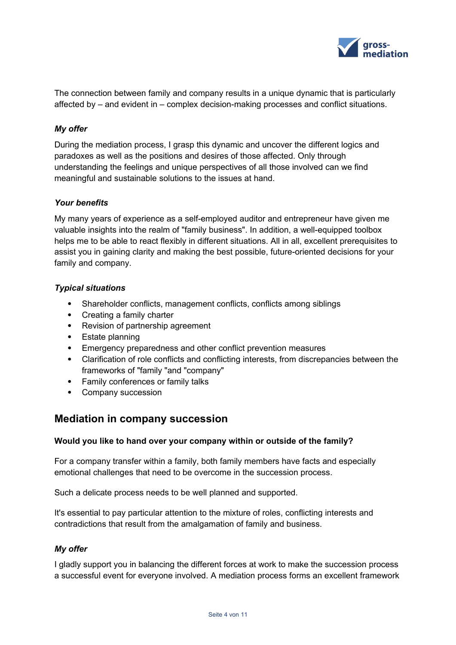

The connection between family and company results in a unique dynamic that is particularly affected by – and evident in – complex decision-making processes and conflict situations.

#### *My offer*

During the mediation process, I grasp this dynamic and uncover the different logics and paradoxes as well as the positions and desires of those affected. Only through understanding the feelings and unique perspectives of all those involved can we find meaningful and sustainable solutions to the issues at hand.

#### *Your benefits*

My many years of experience as a self-employed auditor and entrepreneur have given me valuable insights into the realm of "family business". In addition, a well-equipped toolbox helps me to be able to react flexibly in different situations. All in all, excellent prerequisites to assist you in gaining clarity and making the best possible, future-oriented decisions for your family and company.

#### *Typical situations*

- Shareholder conflicts, management conflicts, conflicts among siblings
- Creating a family charter
- Revision of partnership agreement
- Estate planning
- Emergency preparedness and other conflict prevention measures
- Clarification of role conflicts and conflicting interests, from discrepancies between the frameworks of "family "and "company"
- Family conferences or family talks
- Company succession

## **Mediation in company succession**

#### **Would you like to hand over your company within or outside of the family?**

For a company transfer within a family, both family members have facts and especially emotional challenges that need to be overcome in the succession process.

Such a delicate process needs to be well planned and supported.

It's essential to pay particular attention to the mixture of roles, conflicting interests and contradictions that result from the amalgamation of family and business.

#### *My offer*

I gladly support you in balancing the different forces at work to make the succession process a successful event for everyone involved. A mediation process forms an excellent framework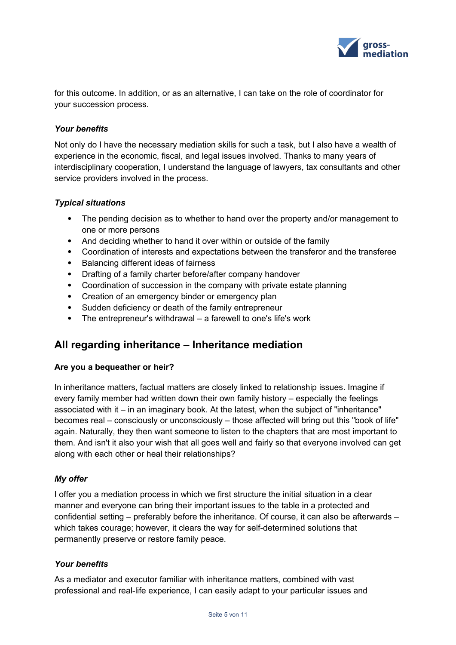

for this outcome. In addition, or as an alternative, I can take on the role of coordinator for your succession process.

#### *Your benefits*

Not only do I have the necessary mediation skills for such a task, but I also have a wealth of experience in the economic, fiscal, and legal issues involved. Thanks to many years of interdisciplinary cooperation, I understand the language of lawyers, tax consultants and other service providers involved in the process.

#### *Typical situations*

- The pending decision as to whether to hand over the property and/or management to one or more persons
- And deciding whether to hand it over within or outside of the family
- Coordination of interests and expectations between the transferor and the transferee
- Balancing different ideas of fairness
- Drafting of a family charter before/after company handover
- Coordination of succession in the company with private estate planning
- Creation of an emergency binder or emergency plan
- Sudden deficiency or death of the family entrepreneur
- The entrepreneur's withdrawal a farewell to one's life's work

## **All regarding inheritance – Inheritance mediation**

#### **Are you a bequeather or heir?**

In inheritance matters, factual matters are closely linked to relationship issues. Imagine if every family member had written down their own family history – especially the feelings associated with it – in an imaginary book. At the latest, when the subject of "inheritance" becomes real – consciously or unconsciously – those affected will bring out this "book of life" again. Naturally, they then want someone to listen to the chapters that are most important to them. And isn't it also your wish that all goes well and fairly so that everyone involved can get along with each other or heal their relationships?

#### *My offer*

I offer you a mediation process in which we first structure the initial situation in a clear manner and everyone can bring their important issues to the table in a protected and confidential setting – preferably before the inheritance. Of course, it can also be afterwards – which takes courage; however, it clears the way for self-determined solutions that permanently preserve or restore family peace.

#### *Your benefits*

As a mediator and executor familiar with inheritance matters, combined with vast professional and real-life experience, I can easily adapt to your particular issues and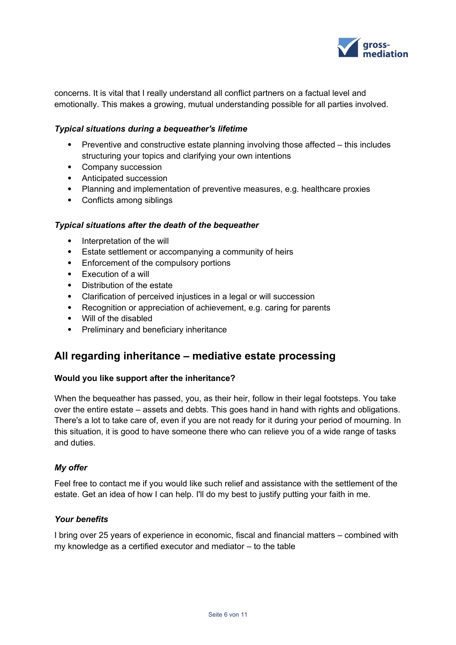

concerns. It is vital that I really understand all conflict partners on a factual level and emotionally. This makes a growing, mutual understanding possible for all parties involved.

#### *Typical situations during a bequeather's lifetime*

- Preventive and constructive estate planning involving those affected this includes structuring your topics and clarifying your own intentions
- Company succession
- Anticipated succession
- Planning and implementation of preventive measures, e.g. healthcare proxies
- Conflicts among siblings

#### *Typical situations after the death of the bequeather*

- Interpretation of the will
- Estate settlement or accompanying a community of heirs
- Enforcement of the compulsory portions
- Execution of a will
- Distribution of the estate
- Clarification of perceived injustices in a legal or will succession
- Recognition or appreciation of achievement, e.g. caring for parents
- Will of the disabled
- Preliminary and beneficiary inheritance

## **All regarding inheritance – mediative estate processing**

#### **Would you like support after the inheritance?**

When the bequeather has passed, you, as their heir, follow in their legal footsteps. You take over the entire estate – assets and debts. This goes hand in hand with rights and obligations. There's a lot to take care of, even if you are not ready for it during your period of mourning. In this situation, it is good to have someone there who can relieve you of a wide range of tasks and duties.

#### *My offer*

Feel free to contact me if you would like such relief and assistance with the settlement of the estate. Get an idea of how I can help. I'll do my best to justify putting your faith in me.

#### *Your benefits*

I bring over 25 years of experience in economic, fiscal and financial matters – combined with my knowledge as a certified executor and mediator – to the table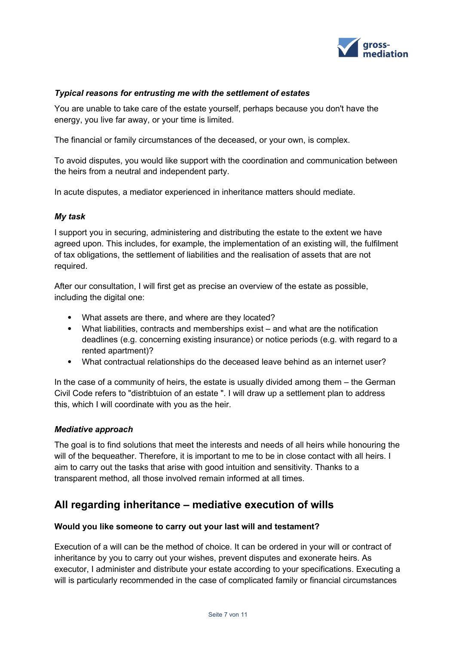

### *Typical reasons for entrusting me with the settlement of estates*

You are unable to take care of the estate yourself, perhaps because you don't have the energy, you live far away, or your time is limited.

The financial or family circumstances of the deceased, or your own, is complex.

To avoid disputes, you would like support with the coordination and communication between the heirs from a neutral and independent party.

In acute disputes, a mediator experienced in inheritance matters should mediate.

#### *My task*

I support you in securing, administering and distributing the estate to the extent we have agreed upon. This includes, for example, the implementation of an existing will, the fulfilment of tax obligations, the settlement of liabilities and the realisation of assets that are not required.

After our consultation, I will first get as precise an overview of the estate as possible, including the digital one:

- What assets are there, and where are they located?
- What liabilities, contracts and memberships exist and what are the notification deadlines (e.g. concerning existing insurance) or notice periods (e.g. with regard to a rented apartment)?
- What contractual relationships do the deceased leave behind as an internet user?

In the case of a community of heirs, the estate is usually divided among them – the German Civil Code refers to "distribtuion of an estate ". I will draw up a settlement plan to address this, which I will coordinate with you as the heir.

#### *Mediative approach*

The goal is to find solutions that meet the interests and needs of all heirs while honouring the will of the bequeather. Therefore, it is important to me to be in close contact with all heirs. I aim to carry out the tasks that arise with good intuition and sensitivity. Thanks to a transparent method, all those involved remain informed at all times.

## **All regarding inheritance – mediative execution of wills**

#### **Would you like someone to carry out your last will and testament?**

Execution of a will can be the method of choice. It can be ordered in your will or contract of inheritance by you to carry out your wishes, prevent disputes and exonerate heirs. As executor, I administer and distribute your estate according to your specifications. Executing a will is particularly recommended in the case of complicated family or financial circumstances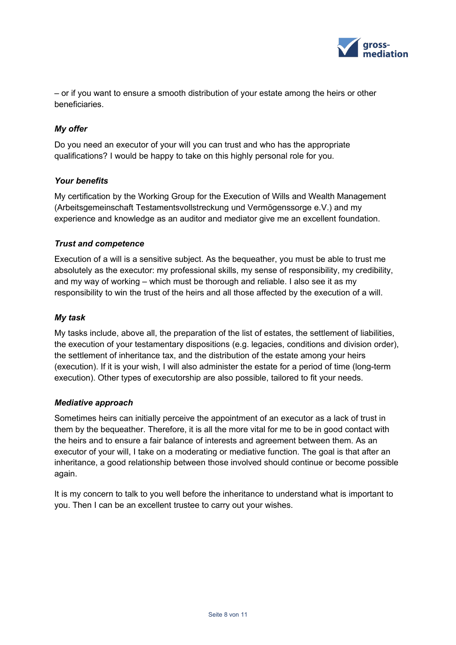

– or if you want to ensure a smooth distribution of your estate among the heirs or other beneficiaries.

## *My offer*

Do you need an executor of your will you can trust and who has the appropriate qualifications? I would be happy to take on this highly personal role for you.

## *Your benefits*

My certification by the Working Group for the Execution of Wills and Wealth Management (Arbeitsgemeinschaft Testamentsvollstreckung und Vermögenssorge e.V.) and my experience and knowledge as an auditor and mediator give me an excellent foundation.

## *Trust and competence*

Execution of a will is a sensitive subject. As the bequeather, you must be able to trust me absolutely as the executor: my professional skills, my sense of responsibility, my credibility, and my way of working – which must be thorough and reliable. I also see it as my responsibility to win the trust of the heirs and all those affected by the execution of a will.

## *My task*

My tasks include, above all, the preparation of the list of estates, the settlement of liabilities, the execution of your testamentary dispositions (e.g. legacies, conditions and division order), the settlement of inheritance tax, and the distribution of the estate among your heirs (execution). If it is your wish, I will also administer the estate for a period of time (long-term execution). Other types of executorship are also possible, tailored to fit your needs.

#### *Mediative approach*

Sometimes heirs can initially perceive the appointment of an executor as a lack of trust in them by the bequeather. Therefore, it is all the more vital for me to be in good contact with the heirs and to ensure a fair balance of interests and agreement between them. As an executor of your will, I take on a moderating or mediative function. The goal is that after an inheritance, a good relationship between those involved should continue or become possible again.

It is my concern to talk to you well before the inheritance to understand what is important to you. Then I can be an excellent trustee to carry out your wishes.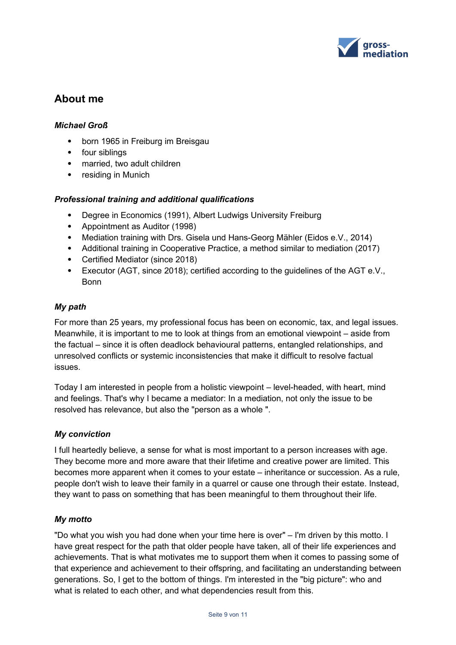

## **About me**

### *Michael Groß*

- born 1965 in Freiburg im Breisgau
- four siblings
- married, two adult children
- residing in Munich

#### *Professional training and additional qualifications*

- Degree in Economics (1991), Albert Ludwigs University Freiburg
- Appointment as Auditor (1998)
- Mediation training with Drs. Gisela und Hans-Georg Mähler (Eidos e.V., 2014)
- Additional training in Cooperative Practice, a method similar to mediation (2017)
- Certified Mediator (since 2018)
- Executor (AGT, since 2018); certified according to the guidelines of the AGT e.V., Bonn

#### *My path*

For more than 25 years, my professional focus has been on economic, tax, and legal issues. Meanwhile, it is important to me to look at things from an emotional viewpoint – aside from the factual – since it is often deadlock behavioural patterns, entangled relationships, and unresolved conflicts or systemic inconsistencies that make it difficult to resolve factual issues.

Today I am interested in people from a holistic viewpoint – level-headed, with heart, mind and feelings. That's why I became a mediator: In a mediation, not only the issue to be resolved has relevance, but also the "person as a whole ".

#### *My conviction*

I full heartedly believe, a sense for what is most important to a person increases with age. They become more and more aware that their lifetime and creative power are limited. This becomes more apparent when it comes to your estate – inheritance or succession. As a rule, people don't wish to leave their family in a quarrel or cause one through their estate. Instead, they want to pass on something that has been meaningful to them throughout their life.

#### *My motto*

"Do what you wish you had done when your time here is over" – I'm driven by this motto. I have great respect for the path that older people have taken, all of their life experiences and achievements. That is what motivates me to support them when it comes to passing some of that experience and achievement to their offspring, and facilitating an understanding between generations. So, I get to the bottom of things. I'm interested in the "big picture": who and what is related to each other, and what dependencies result from this.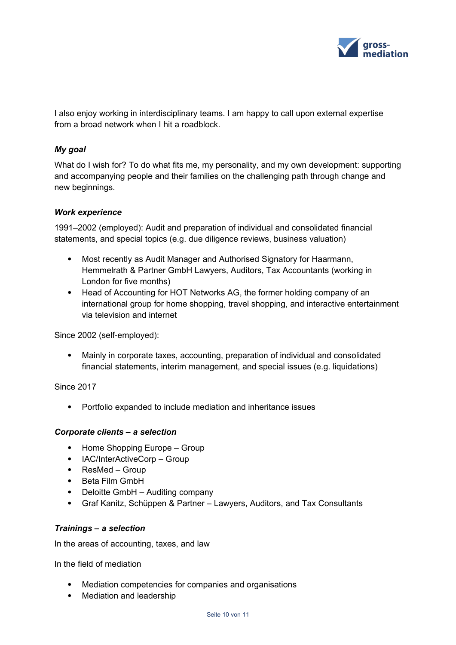

I also enjoy working in interdisciplinary teams. I am happy to call upon external expertise from a broad network when I hit a roadblock.

## *My goal*

What do I wish for? To do what fits me, my personality, and my own development: supporting and accompanying people and their families on the challenging path through change and new beginnings.

#### *Work experience*

1991–2002 (employed): Audit and preparation of individual and consolidated financial statements, and special topics (e.g. due diligence reviews, business valuation)

- Most recently as Audit Manager and Authorised Signatory for Haarmann, Hemmelrath & Partner GmbH Lawyers, Auditors, Tax Accountants (working in London for five months)
- Head of Accounting for HOT Networks AG, the former holding company of an international group for home shopping, travel shopping, and interactive entertainment via television and internet

Since 2002 (self-employed):

 Mainly in corporate taxes, accounting, preparation of individual and consolidated financial statements, interim management, and special issues (e.g. liquidations)

Since 2017

Portfolio expanded to include mediation and inheritance issues

#### *Corporate clients – a selection*

- Home Shopping Europe Group
- IAC/InterActiveCorp Group
- ResMed Group
- Beta Film GmbH
- Deloitte GmbH Auditing company
- Graf Kanitz, Schüppen & Partner Lawyers, Auditors, and Tax Consultants

#### *Trainings – a selection*

In the areas of accounting, taxes, and law

In the field of mediation

- Mediation competencies for companies and organisations
- Mediation and leadership